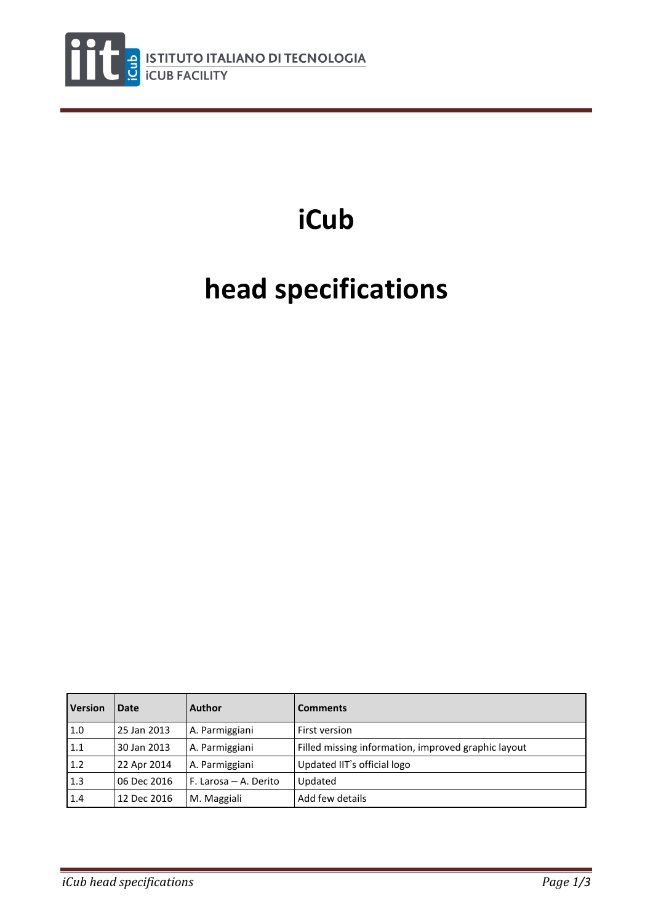

# **iCub**

# **head specifications**

| <b>Version</b> | Date        | <b>Author</b>           | <b>Comments</b>                                     |
|----------------|-------------|-------------------------|-----------------------------------------------------|
| 1.0            | 25 Jan 2013 | A. Parmiggiani          | First version                                       |
| 1.1            | 30 Jan 2013 | A. Parmiggiani          | Filled missing information, improved graphic layout |
| 1.2            | 22 Apr 2014 | A. Parmiggiani          | Updated IIT's official logo                         |
| 1.3            | 06 Dec 2016 | l F. Larosa – A. Derito | Updated                                             |
| 1.4            | 12 Dec 2016 | M. Maggiali             | Add few details                                     |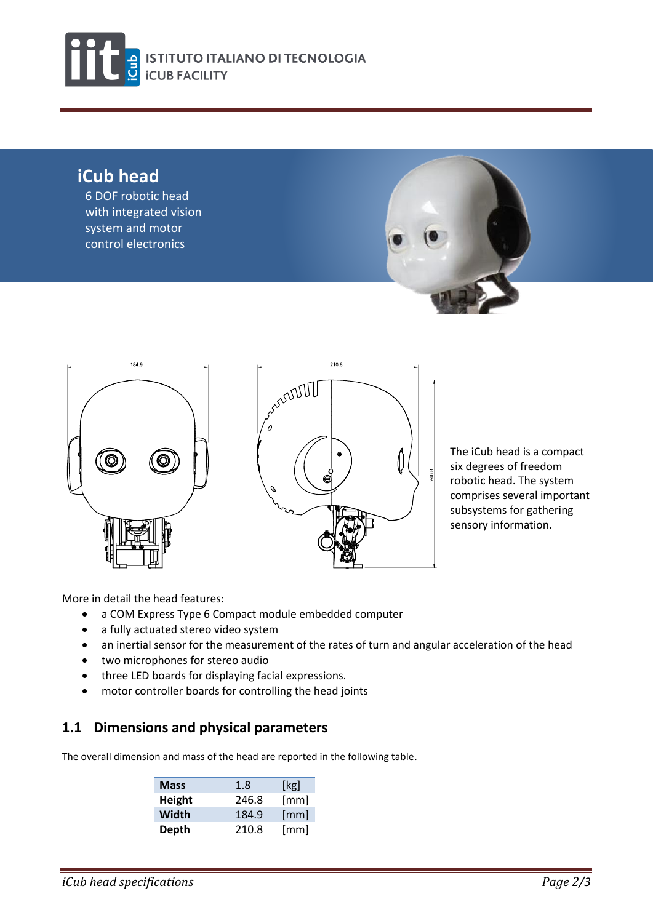

### **iCub head**

6 DOF robotic head with integrated vision system and motor control electronics







The iCub head is a compact six degrees of freedom robotic head. The system comprises several important subsystems for gathering sensory information.

More in detail the head features:

- a COM Express Type 6 Compact module embedded computer
- a fully actuated stereo video system
- an inertial sensor for the measurement of the rates of turn and angular acceleration of the head
- two microphones for stereo audio
- three LED boards for displaying facial expressions.
- motor controller boards for controlling the head joints

### **1.1 Dimensions and physical parameters**

The overall dimension and mass of the head are reported in the following table.

| <b>Mass</b>   | 1.8   | [kg] |  |
|---------------|-------|------|--|
| <b>Height</b> | 246.8 | [mm] |  |
| Width         | 184.9 | [mm] |  |
| Depth         | 210.8 | [mm] |  |
|               |       |      |  |